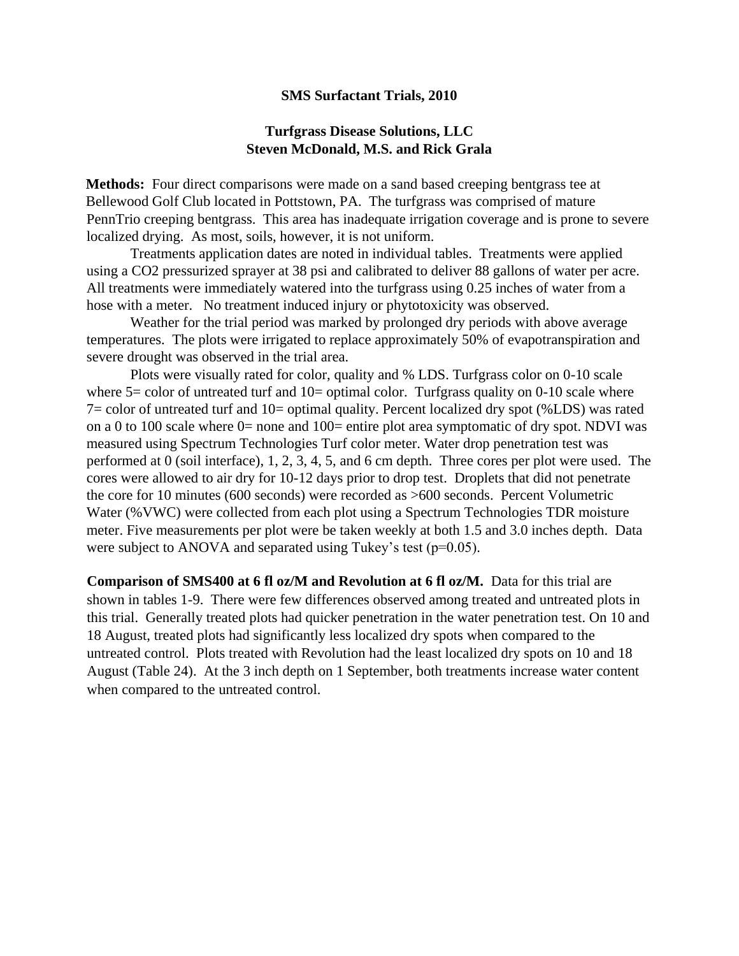#### **SMS Surfactant Trials, 2010**

#### **Turfgrass Disease Solutions, LLC Steven McDonald, M.S. and Rick Grala**

**Methods:** Four direct comparisons were made on a sand based creeping bentgrass tee at Bellewood Golf Club located in Pottstown, PA. The turfgrass was comprised of mature PennTrio creeping bentgrass. This area has inadequate irrigation coverage and is prone to severe localized drying. As most, soils, however, it is not uniform.

Treatments application dates are noted in individual tables. Treatments were applied using a CO2 pressurized sprayer at 38 psi and calibrated to deliver 88 gallons of water per acre. All treatments were immediately watered into the turfgrass using 0.25 inches of water from a hose with a meter. No treatment induced injury or phytotoxicity was observed.

Weather for the trial period was marked by prolonged dry periods with above average temperatures. The plots were irrigated to replace approximately 50% of evapotranspiration and severe drought was observed in the trial area.

Plots were visually rated for color, quality and % LDS. Turfgrass color on 0-10 scale where  $5 =$  color of untreated turf and  $10 =$  optimal color. Turfgrass quality on 0-10 scale where 7= color of untreated turf and 10= optimal quality. Percent localized dry spot (%LDS) was rated on a 0 to 100 scale where  $0=$  none and 100= entire plot area symptomatic of dry spot. NDVI was measured using Spectrum Technologies Turf color meter. Water drop penetration test was performed at 0 (soil interface), 1, 2, 3, 4, 5, and 6 cm depth. Three cores per plot were used. The cores were allowed to air dry for 10-12 days prior to drop test. Droplets that did not penetrate the core for 10 minutes (600 seconds) were recorded as >600 seconds. Percent Volumetric Water (%VWC) were collected from each plot using a Spectrum Technologies TDR moisture meter. Five measurements per plot were be taken weekly at both 1.5 and 3.0 inches depth. Data were subject to ANOVA and separated using Tukey's test  $(p=0.05)$ .

**Comparison of SMS400 at 6 fl oz/M and Revolution at 6 fl oz/M.** Data for this trial are shown in tables 1-9. There were few differences observed among treated and untreated plots in this trial. Generally treated plots had quicker penetration in the water penetration test. On 10 and 18 August, treated plots had significantly less localized dry spots when compared to the untreated control. Plots treated with Revolution had the least localized dry spots on 10 and 18 August (Table 24). At the 3 inch depth on 1 September, both treatments increase water content when compared to the untreated control.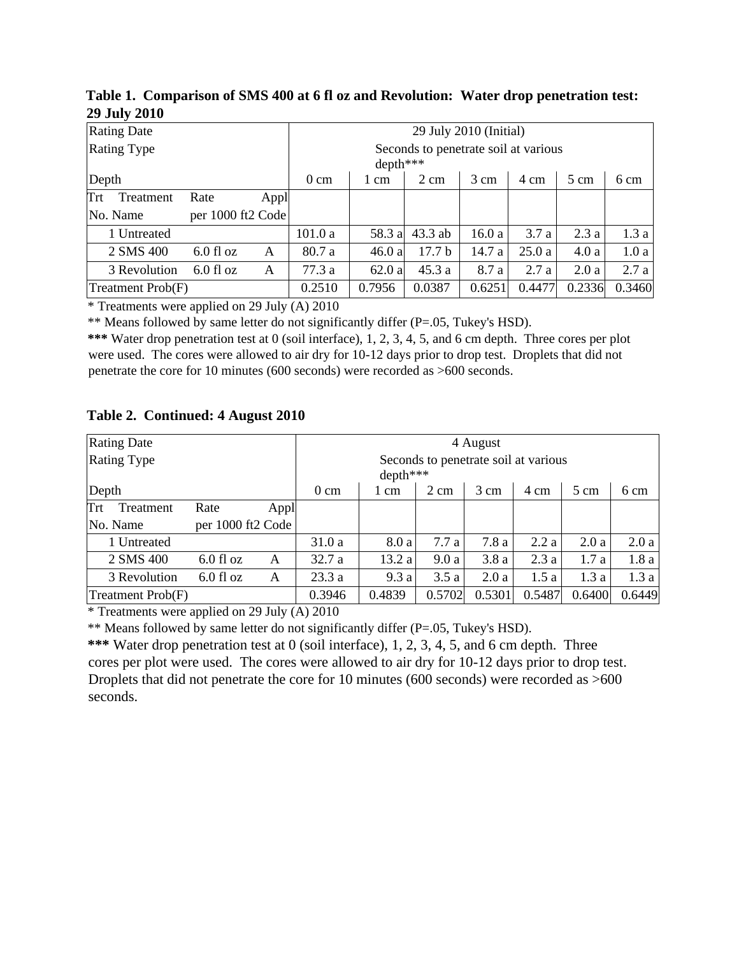| Table 1. Comparison of SMS 400 at 6 fl oz and Revolution: Water drop penetration test: |  |
|----------------------------------------------------------------------------------------|--|
| <b>29 July 2010</b>                                                                    |  |

| <b>Rating Date</b>            |             |      | 29 July 2010 (Initial) |          |                                      |        |        |        |        |  |  |
|-------------------------------|-------------|------|------------------------|----------|--------------------------------------|--------|--------|--------|--------|--|--|
| <b>Rating Type</b>            |             |      |                        | depth*** | Seconds to penetrate soil at various |        |        |        |        |  |  |
| Depth                         |             |      | $0 \text{ cm}$         | 1 cm     | $2 \text{ cm}$                       | 3 cm   | 4 cm   | 5 cm   | 6 cm   |  |  |
| Trt<br>Treatment              | Rate        | Appl |                        |          |                                      |        |        |        |        |  |  |
| per 1000 ft2 Code<br>No. Name |             |      |                        |          |                                      |        |        |        |        |  |  |
| 1 Untreated                   |             |      | 101.0a                 | 58.3 a   | $43.3$ ab                            | 16.0a  | 3.7a   | 2.3a   | 1.3a   |  |  |
| 2 SMS 400                     | $6.0$ fl oz | A    | 80.7 a                 | 46.0a    | 17.7 <sub>b</sub>                    | 14.7 a | 25.0a  | 4.0a   | 1.0a   |  |  |
| 3 Revolution                  | $6.0$ fl oz | A    | 77.3a                  | 62.0a    | 45.3a                                | 8.7 a  | 2.7a   | 2.0a   | 2.7a   |  |  |
| Treatment Prob(F)             |             |      | 0.2510                 | 0.7956   | 0.0387                               | 0.6251 | 0.4477 | 0.2336 | 0.3460 |  |  |

\* Treatments were applied on 29 July (A) 2010

\*\* Means followed by same letter do not significantly differ (P=.05, Tukey's HSD).

**\*\*\*** Water drop penetration test at 0 (soil interface), 1, 2, 3, 4, 5, and 6 cm depth. Three cores per plot were used. The cores were allowed to air dry for 10-12 days prior to drop test. Droplets that did not penetrate the core for 10 minutes (600 seconds) were recorded as >600 seconds.

# **Table 2. Continued: 4 August 2010**

| <b>Rating Date</b>            |             |      | 4 August                                         |        |                |        |        |                |        |  |
|-------------------------------|-------------|------|--------------------------------------------------|--------|----------------|--------|--------|----------------|--------|--|
| <b>Rating Type</b>            |             |      | Seconds to penetrate soil at various<br>depth*** |        |                |        |        |                |        |  |
| Depth                         |             |      | $0 \text{ cm}$                                   | 1 cm   | $2 \text{ cm}$ | 3 cm   | 4 cm   | $5 \text{ cm}$ | 6 cm   |  |
| Trt<br>Treatment              | Rate        | Appl |                                                  |        |                |        |        |                |        |  |
| per 1000 ft2 Code<br>No. Name |             |      |                                                  |        |                |        |        |                |        |  |
| 1 Untreated                   |             |      | 31.0a                                            | 8.0 a  | 7.7a           | 7.8a   | 2.2a   | 2.0a           | 2.0a   |  |
| 2 SMS 400                     | $6.0$ fl oz | A    | 32.7a                                            | 13.2a  | 9.0a           | 3.8a   | 2.3a   | 1.7a           | 1.8a   |  |
| 3 Revolution                  | $6.0$ fl oz | A    | 23.3a                                            | 9.3a   | 3.5a           | 2.0a   | 1.5a   | 1.3a           | 1.3a   |  |
| Treatment Prob(F)             |             |      | 0.3946                                           | 0.4839 | 0.5702         | 0.5301 | 0.5487 | 0.6400         | 0.6449 |  |

\* Treatments were applied on 29 July (A) 2010

\*\* Means followed by same letter do not significantly differ (P=.05, Tukey's HSD).

**\*\*\*** Water drop penetration test at 0 (soil interface), 1, 2, 3, 4, 5, and 6 cm depth. Three cores per plot were used. The cores were allowed to air dry for 10-12 days prior to drop test. Droplets that did not penetrate the core for 10 minutes (600 seconds) were recorded as >600 seconds.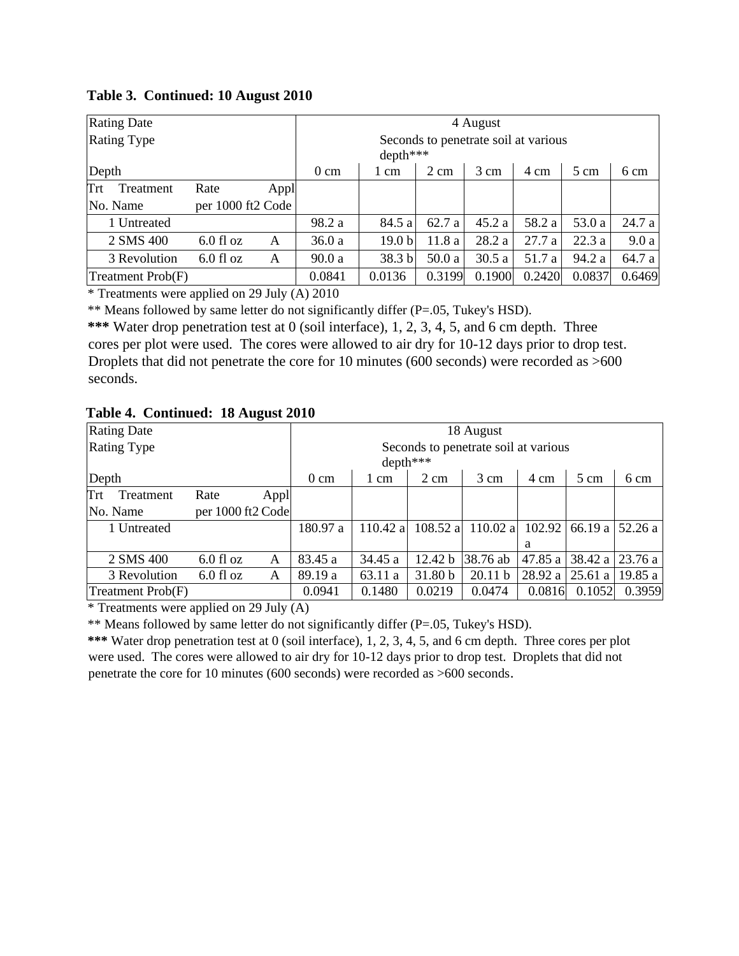| <b>Rating Date</b> |                   |        | 4 August       |                   |                                      |        |        |                |        |  |
|--------------------|-------------------|--------|----------------|-------------------|--------------------------------------|--------|--------|----------------|--------|--|
| <b>Rating Type</b> |                   |        |                | depth***          | Seconds to penetrate soil at various |        |        |                |        |  |
| Depth              |                   |        | $0 \text{ cm}$ | 1 cm              | $2 \text{ cm}$                       | 3 cm   | 4 cm   | $5 \text{ cm}$ | 6 cm   |  |
| Trt<br>Treatment   | Rate              | Appl   |                |                   |                                      |        |        |                |        |  |
| No. Name           | per 1000 ft2 Code |        |                |                   |                                      |        |        |                |        |  |
| 1 Untreated        |                   |        | 98.2 a         | 84.5 a            | 62.7 a                               | 45.2a  | 58.2 a | 53.0 a         | 24.7 a |  |
| 2 SMS 400          | $6.0$ fl oz       | A      | 36.0a          | 19.0 <sub>b</sub> | 11.8 a                               | 28.2 a | 27.7a  | 22.3a          | 9.0a   |  |
| 3 Revolution       | $6.0$ fl oz       | A      | 90.0a          | 38.3 b            | 50.0a                                | 30.5a  | 51.7 a | 94.2 a         | 64.7 a |  |
| Treatment Prob(F)  |                   | 0.0841 | 0.0136         | 0.3199            | 0.1900                               | 0.2420 | 0.0837 | 0.6469         |        |  |

# **Table 3. Continued: 10 August 2010**

\* Treatments were applied on 29 July (A) 2010

\*\* Means followed by same letter do not significantly differ (P=.05, Tukey's HSD).

**\*\*\*** Water drop penetration test at 0 (soil interface), 1, 2, 3, 4, 5, and 6 cm depth. Three cores per plot were used. The cores were allowed to air dry for 10-12 days prior to drop test. Droplets that did not penetrate the core for 10 minutes (600 seconds) were recorded as >600 seconds.

### **Table 4. Continued: 18 August 2010**

| <b>Rating Date</b> |                   |        | 18 August      |            |                |                                      |         |                |         |  |
|--------------------|-------------------|--------|----------------|------------|----------------|--------------------------------------|---------|----------------|---------|--|
| <b>Rating Type</b> |                   |        |                |            |                | Seconds to penetrate soil at various |         |                |         |  |
|                    |                   |        |                | $depth***$ |                |                                      |         |                |         |  |
| Depth              |                   |        | $0 \text{ cm}$ | 1 cm       | $2 \text{ cm}$ | 3 cm                                 | 4 cm    | $5 \text{ cm}$ | 6 cm    |  |
| Trt<br>Treatment   | Rate              | Appl   |                |            |                |                                      |         |                |         |  |
| No. Name           | per 1000 ft2 Code |        |                |            |                |                                      |         |                |         |  |
| 1 Untreated        |                   |        | 180.97 a       | 110.42 a   | $108.52$ a     | 110.02 a                             | 102.92  | 66.19 a        | 52.26a  |  |
|                    |                   |        |                |            |                |                                      | a       |                |         |  |
| 2 SMS 400          | $6.0$ fl oz       | A      | 83.45 a        | 34.45 a    | 12.42 b        | 38.76 ab                             | 47.85 a | 38.42 a        | 23.76a  |  |
| 3 Revolution       | $6.0$ fl oz       | A      | 89.19 a        | 63.11 a    | 31.80 b        | 20.11 b                              | 28.92 a | 25.61a         | 19.85 a |  |
| Treatment Prob(F)  |                   | 0.0941 | 0.1480         | 0.0219     | 0.0474         | 0.0816                               | 0.1052  | 0.3959         |         |  |

\* Treatments were applied on 29 July (A)

\*\* Means followed by same letter do not significantly differ (P=.05, Tukey's HSD).

**\*\*\*** Water drop penetration test at 0 (soil interface), 1, 2, 3, 4, 5, and 6 cm depth. Three cores per plot were used. The cores were allowed to air dry for 10-12 days prior to drop test. Droplets that did not penetrate the core for 10 minutes (600 seconds) were recorded as >600 seconds.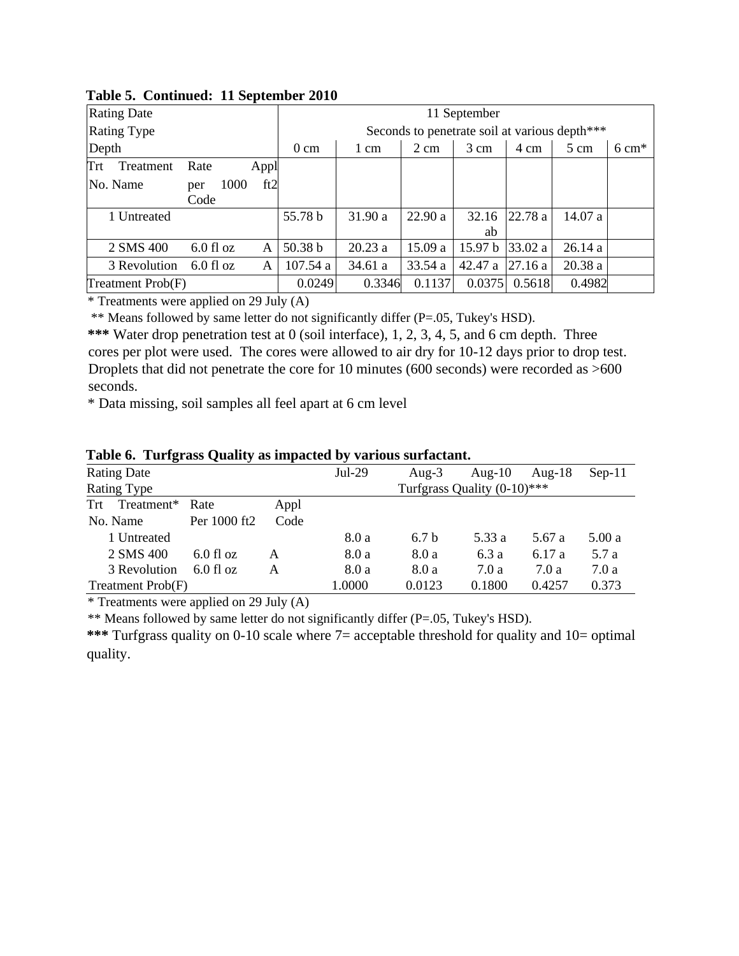| <b>Rating Date</b> |             |      | л.   |                                                          | 11 September |                |         |         |                                               |                  |  |  |  |
|--------------------|-------------|------|------|----------------------------------------------------------|--------------|----------------|---------|---------|-----------------------------------------------|------------------|--|--|--|
| <b>Rating Type</b> |             |      |      |                                                          |              |                |         |         | Seconds to penetrate soil at various depth*** |                  |  |  |  |
| Depth              |             |      |      | $0 \text{ cm}$                                           | 1 cm         | $2 \text{ cm}$ | 3 cm    | 4 cm    | 5 cm                                          | $6 \text{ cm}^*$ |  |  |  |
| Trt<br>Treatment   | Rate        |      | Appl |                                                          |              |                |         |         |                                               |                  |  |  |  |
| No. Name           | per         | 1000 | ft2  |                                                          |              |                |         |         |                                               |                  |  |  |  |
|                    | Code        |      |      |                                                          |              |                |         |         |                                               |                  |  |  |  |
| 1 Untreated        |             |      |      | 55.78 b                                                  | 31.90 a      | 22.90a         | 32.16   | 22.78a  | 14.07 a                                       |                  |  |  |  |
|                    |             |      |      |                                                          |              |                | ab      |         |                                               |                  |  |  |  |
| 2 SMS 400          | $6.0$ fl oz |      | A    | 50.38 b                                                  | 20.23a       | 15.09 a        | 15.97 b | 33.02 a | 26.14a                                        |                  |  |  |  |
| 3 Revolution       | $6.0$ fl oz |      | A    | 107.54a                                                  | 34.61 a      | 33.54 a        | 42.47 a | 27.16a  | 20.38a                                        |                  |  |  |  |
| Treatment Prob(F)  |             |      |      | 0.1137<br>0.4982<br>0.0249<br>0.3346<br>0.0375<br>0.5618 |              |                |         |         |                                               |                  |  |  |  |

**Table 5. Continued: 11 September 2010** 

\* Treatments were applied on 29 July (A)

\*\* Means followed by same letter do not significantly differ (P=.05, Tukey's HSD).

**\*\*\*** Water drop penetration test at 0 (soil interface), 1, 2, 3, 4, 5, and 6 cm depth. Three cores per plot were used. The cores were allowed to air dry for 10-12 days prior to drop test. Droplets that did not penetrate the core for 10 minutes (600 seconds) were recorded as >600 seconds.

\* Data missing, soil samples all feel apart at 6 cm level

| <b>Rating Date</b>                                        |              |      | $Jul-29$ | Aug- $3$         | Aug- $10$                      | Aug- $18$ | $Sep-11$ |
|-----------------------------------------------------------|--------------|------|----------|------------------|--------------------------------|-----------|----------|
| Rating Type                                               |              |      |          |                  | Turfgrass Quality $(0-10)$ *** |           |          |
| Treatment*<br>Trt                                         | Rate         | Appl |          |                  |                                |           |          |
| No. Name                                                  | Per 1000 ft2 | Code |          |                  |                                |           |          |
| 1 Untreated                                               |              |      | 8.0 a    | 6.7 <sub>b</sub> | 5.33 a                         | 5.67 a    | 5.00a    |
| 2 SMS 400                                                 | $6.0$ fl oz  | А    | 8.0 a    | 8.0 a            | 6.3a                           | 6.17 a    | 5.7 a    |
| 3 Revolution                                              | $6.0$ fl oz  | A    | 8.0 a    | 8.0 a            | 7.0 a                          | 7.0 a     | 7.0a     |
| 1.0000<br>0.0123<br>0.1800<br>Treatment Prob(F)<br>0.4257 |              |      |          |                  |                                |           | 0.373    |

**Table 6. Turfgrass Quality as impacted by various surfactant.**

\* Treatments were applied on 29 July (A)

\*\* Means followed by same letter do not significantly differ (P=.05, Tukey's HSD).

**\*\*\*** Turfgrass quality on 0-10 scale where 7= acceptable threshold for quality and 10= optimal quality.